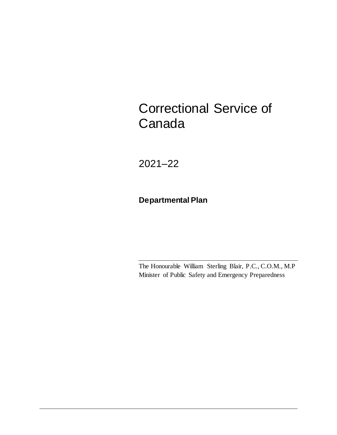# Correctional Service of Canada

2021–22

**Departmental Plan**

The Honourable William Sterling Blair, P.C., C.O.M., M.P Minister of Public Safety and Emergency Preparedness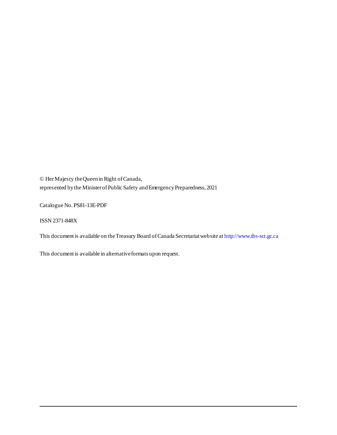© HerMajesty the Queen in Right of Canada, represented by the Minister of Public Safety and Emergency Preparedness, 2021

Catalogue No. PS81-13E-PDF

ISSN 2371-848X

This document is available on the Treasury Board of Canada Secretariat website a[t http://www.tbs-sct.gc.ca](http://www.tbs-sct.gc.ca/)

This document is available in alternative formats upon request.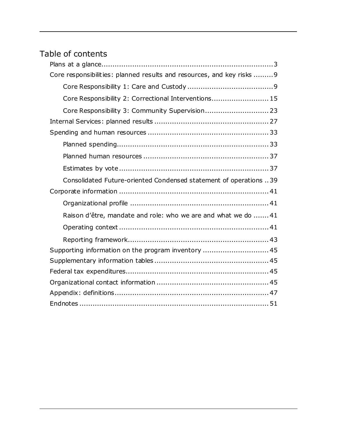## Table of contents

| Core responsibilities: planned results and resources, and key risks  9 |
|------------------------------------------------------------------------|
|                                                                        |
| Core Responsibility 2: Correctional Interventions 15                   |
| Core Responsibility 3: Community Supervision 23                        |
|                                                                        |
|                                                                        |
|                                                                        |
|                                                                        |
|                                                                        |
| Consolidated Future-oriented Condensed statement of operations 39      |
|                                                                        |
|                                                                        |
| Raison d'être, mandate and role: who we are and what we do  41         |
|                                                                        |
|                                                                        |
| Supporting information on the program inventory  45                    |
|                                                                        |
|                                                                        |
|                                                                        |
|                                                                        |
|                                                                        |
|                                                                        |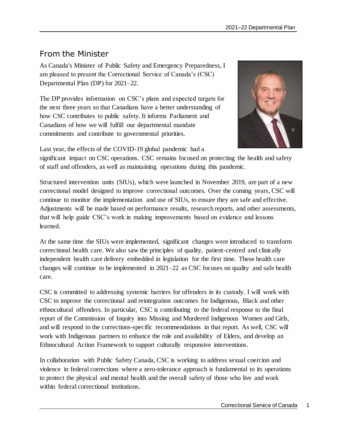### From the Minister

As Canada's Minister of Public Safety and Emergency Preparedness, I am pleased to present the Correctional Service of Canada's (CSC) Departmental Plan (DP) for 2021–22.

The DP provides information on CSC's plans and expected targets for the next three years so that Canadians have a better understanding of how CSC contributes to public safety. It informs Parliament and Canadians of how we will fulfill our departmental mandate commitments and contribute to governmental priorities.



Last year, the effects of the COVID-19 global pandemic had a

significant impact on CSC operations. CSC remains focused on protecting the health and safety of staff and offenders, as well as maintaining operations during this pandemic.

Structured intervention units (SIUs), which were launched in November 2019, are part of a new correctional model designed to improve correctional outcomes. Over the coming years, CSC will continue to monitor the implementation and use of SIUs, to ensure they are safe and effective. Adjustments will be made based on performance results, research reports, and other assessments, that will help guide CSC's work in making improvements based on evidence and lessons learned.

At the same time the SIUs were implemented, significant changes were introduced to transform correctional health care. We also saw the principles of quality, patient-centred and clinically independent health care delivery embedded in legislation for the first time. These health care changes will continue to be implemented in 2021–22 as CSC focuses on quality and safe health care.

CSC is committed to addressing systemic barriers for offenders in its custody. I will work with CSC to improve the correctional and reintegration outcomes for Indigenous, Black and other ethnocultural offenders. In particular, CSC is contributing to the federal response to the final report of the Commission of Inquiry into Missing and Murdered Indigenous Women and Girls, and will respond to the corrections-specific recommendations in that report. As well, CSC will work with Indigenous partners to enhance the role and availability of Elders, and develop an Ethnocultural Action Framework to support culturally responsive interventions.

In collaboration with Public Safety Canada, CSC is working to address sexual coercion and violence in federal corrections where a zero-tolerance approach is fundamental to its operations to protect the physical and mental health and the overall safety of those who live and work within federal correctional institutions.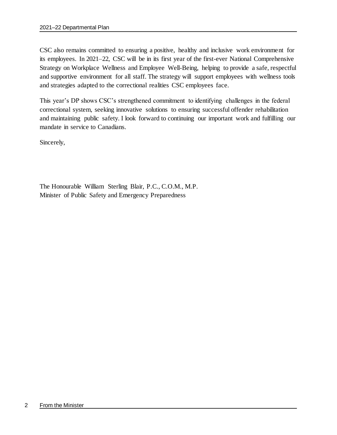CSC also remains committed to ensuring a positive, healthy and inclusive work environment for its employees. In 2021–22, CSC will be in its first year of the first-ever National Comprehensive Strategy on Workplace Wellness and Employee Well-Being, helping to provide a safe, respectful and supportive environment for all staff. The strategy will support employees with wellness tools and strategies adapted to the correctional realities CSC employees face.

This year's DP shows CSC's strengthened commitment to identifying challenges in the federal correctional system, seeking innovative solutions to ensuring successful offender rehabilitation and maintaining public safety. I look forward to continuing our important work and fulfilling our mandate in service to Canadians.

Sincerely,

The Honourable William Sterling Blair, P.C., C.O.M., M.P. Minister of Public Safety and Emergency Preparedness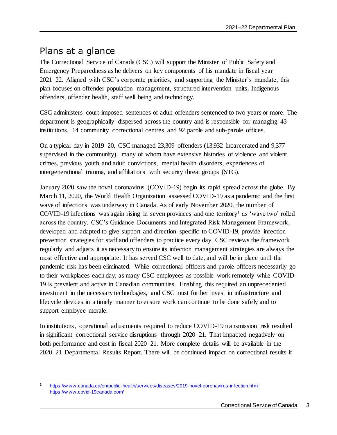## <span id="page-6-0"></span>Plans at a glance

l

The Correctional Service of Canada (CSC) will support the Minister of Public Safety and Emergency Preparedness as he delivers on key components of his mandate in fiscal year 2021–22. Aligned with CSC's corporate priorities, and supporting the Minister's mandate, this plan focuses on offender population management, structured intervention units, Indigenous offenders, offender health, staff well being and technology.

CSC administers court-imposed sentences of adult offenders sentenced to two years or more. The department is geographically dispersed across the country and is responsible for managing 43 institutions, 14 community correctional centres, and 92 parole and sub-parole offices.

On a typical day in 2019–20, CSC managed 23,309 offenders (13,932 incarcerated and 9,377 supervised in the community), many of whom have extensive histories of violence and violent crimes, previous youth and adult convictions, mental health disorders, experiences of intergenerational trauma, and affiliations with security threat groups (STG).

January 2020 saw the novel coronavirus (COVID-19) begin its rapid spread across the globe. By March 11, 2020, the World Health Organization assessed COVID-19 as a pandemic and the first wave of infections was underway in Canada. As of early November 2020, the number of COVID-19 infections was again rising in seven provinces and one territory<sup>1</sup> as 'wave two' rolled across the country. CSC's Guidance Documents and Integrated Risk Management Framework, developed and adapted to give support and direction specific to COVID-19, provide infection prevention strategies for staff and offenders to practice every day. CSC reviews the framework regularly and adjusts it as necessary to ensure its infection management strategies are always the most effective and appropriate. It has served CSC well to date, and will be in place until the pandemic risk has been eliminated. While correctional officers and parole officers necessarily go to their workplaces each day, as many CSC employees as possible work remotely while COVID-19 is prevalent and active in Canadian communities. Enabling this required an unprecedented investment in the necessary technologies, and CSC must further invest in infrastructure and lifecycle devices in a timely manner to ensure work can continue to be done safely and to support employee morale.

In institutions, operational adjustments required to reduce COVID-19 transmission risk resulted in significant correctional service disruptions through 2020–21. That impacted negatively on both performance and cost in fiscal 2020–21. More complete details will be available in the 2020–21 Departmental Results Report. There will be continued impact on correctional results if

https://w ww.canada.ca/en/public-health/services/diseases/2019-novel-coronavirus-infection.html; [https://w ww.covid-19canada.com/](https://www.covid-19canada.com/)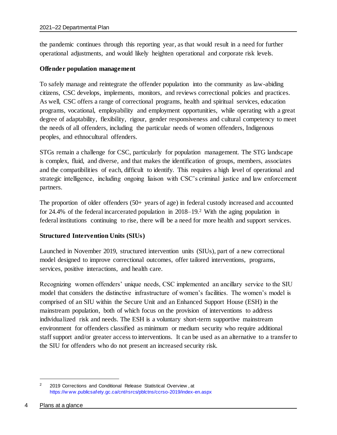the pandemic continues through this reporting year, as that would result in a need for further operational adjustments, and would likely heighten operational and corporate risk levels.

#### **Offender population management**

To safely manage and reintegrate the offender population into the community as law-abiding citizens, CSC develops, implements, monitors, and reviews correctional policies and practices. As well, CSC offers a range of correctional programs, health and spiritual services, education programs, vocational, employability and employment opportunities, while operating with a great degree of adaptability, flexibility, rigour, gender responsiveness and cultural competency to meet the needs of all offenders, including the particular needs of women offenders, Indigenous peoples, and ethnocultural offenders.

STGs remain a challenge for CSC, particularly for population management. The STG landscape is complex, fluid, and diverse, and that makes the identification of groups, members, associates and the compatibilities of each, difficult to identify. This requires a high level of operational and strategic intelligence, including ongoing liaison with CSC's criminal justice and law enforcement partners.

The proportion of older offenders (50+ years of age) in federal custody increased and accounted for 24.4% of the federal incarcerated population in 2018–19. <sup>2</sup> With the aging population in federal institutions continuing to rise, there will be a need for more health and support services.

#### **Structured Intervention Units (SIUs)**

Launched in November 2019, structured intervention units (SIUs), part of a new correctional model designed to improve correctional outcomes, offer tailored interventions, programs, services, positive interactions, and health care.

Recognizing women offenders' unique needs, CSC implemented an ancillary service to the SIU model that considers the distinctive infrastructure of women's facilities. The women's model is comprised of an SIU within the Secure Unit and an Enhanced Support House (ESH) in the mainstream population, both of which focus on the provision of interventions to address individualized risk and needs. The ESH is a voluntary short-term supportive mainstream environment for offenders classified as minimum or medium security who require additional staff support and/or greater access to interventions. It can be used as an alternative to a transfer to the SIU for offenders who do not present an increased security risk.

<sup>2 2019</sup> Corrections and Conditional Release Statistical Overview, at [https://w ww.publicsafety.gc.ca/cnt/rsrcs/pblctns/ccrso-2019/index-en.aspx](https://www.publicsafety.gc.ca/cnt/rsrcs/pblctns/ccrso-2019/index-en.aspx)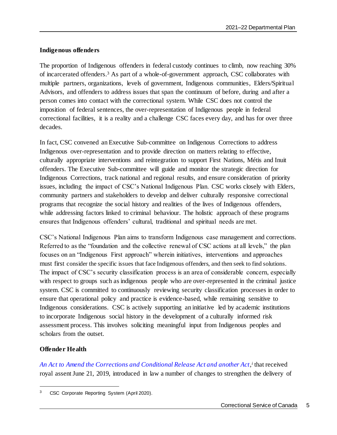### **Indigenous offenders**

The proportion of Indigenous offenders in federal custody continues to climb, now reaching 30% of incarcerated offenders. <sup>3</sup> As part of a whole-of-government approach, CSC collaborates with multiple partners, organizations, levels of government, Indigenous communities, Elders/Spiritual Advisors, and offenders to address issues that span the continuum of before, during and after a person comes into contact with the correctional system. While CSC does not control the imposition of federal sentences, the over-representation of Indigenous people in federal correctional facilities, it is a reality and a challenge CSC faces every day, and has for over three decades.

In fact, CSC convened an Executive Sub-committee on Indigenous Corrections to address Indigenous over-representation and to provide direction on matters relating to effective, culturally appropriate interventions and reintegration to support First Nations, Métis and Inuit offenders. The Executive Sub-committee will guide and monitor the strategic direction for Indigenous Corrections, track national and regional results, and ensure consideration of priority issues, including the impact of CSC's National Indigenous Plan. CSC works closely with Elders, community partners and stakeholders to develop and deliver culturally responsive correctional programs that recognize the social history and realities of the lives of Indigenous offenders, while addressing factors linked to criminal behaviour. The holistic approach of these programs ensures that Indigenous offenders' cultural, traditional and spiritual needs are met.

CSC's National Indigenous Plan aims to transform Indigenous case management and corrections. Referred to as the "foundation and the collective renewal of CSC actions at all levels," the plan focuses on an "Indigenous First approach" wherein initiatives, interventions and approaches must first consider the specific issues that face Indigenous offenders, and then seek to find solutions. The impact of CSC's security classification process is an area of considerable concern, especially with respect to groups such as indigenous people who are over-represented in the criminal justice system. CSC is committed to continuously reviewing security classification processes in order to ensure that operational policy and practice is evidence-based, while remaining sensitive to Indigenous considerations. CSC is actively supporting an initiative led by academic institutions to incorporate Indigenous social history in the development of a culturally informed risk assessment process. This involves soliciting meaningful input from Indigenous peoples and scholars from the outset.

### **Offender Health**

l

*[An Act to Amend the Corrections and Conditional Release Act and another Act](https://www.parl.ca/DocumentViewer/en/42-1/bill/C-83/royal-assent#ID0EZEAI), i* that received royal assent June 21, 2019, introduced in law a number of changes to strengthen the delivery of

CSC Corporate Reporting System (April 2020).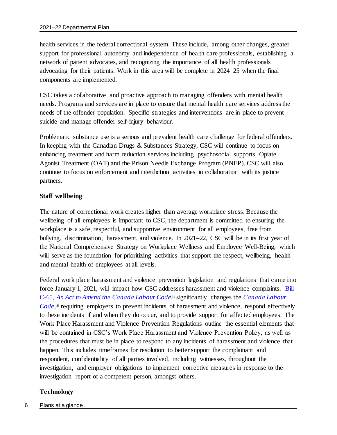health services in the federal correctional system. These include, among other changes, greater support for professional autonomy and independence of health care professionals, establishing a network of patient advocates, and recognizing the importance of all health professionals advocating for their patients. Work in this area will be complete in 2024–25 when the final components are implemented.

CSC takes a collaborative and proactive approach to managing offenders with mental health needs. Programs and services are in place to ensure that mental health care services address the needs of the offender population. Specific strategies and interventions are in place to prevent suicide and manage offender self-injury behaviour.

Problematic substance use is a serious and prevalent health care challenge for federal offenders. In keeping with the Canadian Drugs & Substances Strategy, CSC will continue to focus on enhancing treatment and harm reduction services including psychosocial supports, Opiate Agonist Treatment (OAT) and the Prison Needle Exchange Program (PNEP). CSC will also continue to focus on enforcement and interdiction activities in collaboration with its justice partners.

### **Staff wellbeing**

The nature of correctional work creates higher than average workplace stress. Because the wellbeing of all employees is important to CSC, the department is committed to ensuring the workplace is a safe, respectful, and supportive environment for all employees, free from bullying, discrimination, harassment, and violence. In 2021–22, CSC will be in its first year of the National Comprehensive Strategy on Workplace Wellness and Employee Well-Being, which will serve as the foundation for prioritizing activities that support the respect, wellbeing, health and mental health of employees at all levels.

Federal work place harassment and violence prevention legislation and regulations that came into force January 1, 2021, will impact how CSC addresses harassment and violence complaints. [Bill](https://www.parl.ca/DocumentViewer/en/42-1/bill/C-65/royal-assent#:~:text=Bill%20C%2D65&text=Part%201%20of%20this%20enactment,violence%2C%20in%20the%20work%20place.)  C-65, [An Act to Amend the Canada Labour Code](https://www.parl.ca/DocumentViewer/en/42-1/bill/C-65/royal-assent#:~:text=Bill%20C%2D65&text=Part%201%20of%20this%20enactment,violence%2C%20in%20the%20work%20place.),<sup>ii</sup> significantly changes the Canada Labour [Code](https://laws-lois.justice.gc.ca/eng/acts/L-2/page-1.html),<sup>iii</sup> requiring employers to prevent incidents of harassment and violence, respond effectively to these incidents if and when they do occur, and to provide support for affected employees. The Work Place Harassment and Violence Prevention Regulations outline the essential elements that will be contained in CSC's Work Place Harassment and Violence Prevention Policy, as well as the procedures that must be in place to respond to any incidents of harassment and violence that happen. This includes timeframes for resolution to better support the complainant and respondent, confidentiality of all parties involved, including witnesses, throughout the investigation, and employer obligations to implement corrective measures in response to the investigation report of a competent person, amongst others.

### **Technology**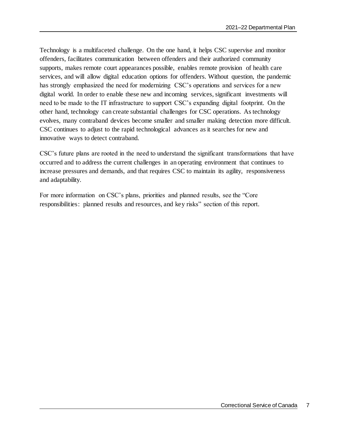Technology is a multifaceted challenge. On the one hand, it helps CSC supervise and monitor offenders, facilitates communication between offenders and their authorized community supports, makes remote court appearances possible, enables remote provision of health care services, and will allow digital education options for offenders. Without question, the pandemic has strongly emphasized the need for modernizing CSC's operations and services for a new digital world. In order to enable these new and incoming services, significant investments will need to be made to the IT infrastructure to support CSC's expanding digital footprint. On the other hand, technology can create substantial challenges for CSC operations. As technology evolves, many contraband devices become smaller and smaller making detection more difficult. CSC continues to adjust to the rapid technological advances as it searches for new and innovative ways to detect contraband.

CSC's future plans are rooted in the need to understand the significant transformations that have occurred and to address the current challenges in an operating environment that continues to increase pressures and demands, and that requires CSC to maintain its agility, responsiveness and adaptability.

For more information on CSC's plans, priorities and planned results, see the "Core responsibilities: planned results and resources, and key risks" section of this report.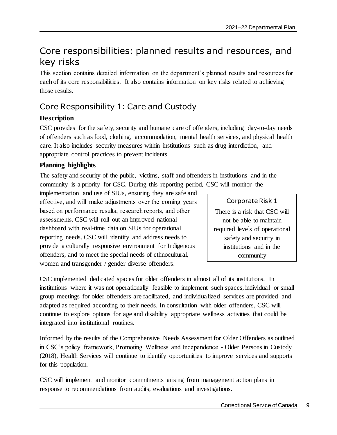## <span id="page-12-0"></span>Core responsibilities: planned results and resources, and key risks

This section contains detailed information on the department's planned results and resources for each of its core responsibilities. It also contains information on key risks related to achieving those results.

### <span id="page-12-1"></span>Core Responsibility 1: Care and Custody

### **Description**

CSC provides for the safety, security and humane care of offenders, including day-to-day needs of offenders such as food, clothing, accommodation, mental health services, and physical health care. It also includes security measures within institutions such as drug interdiction, and appropriate control practices to prevent incidents.

### **Planning highlights**

The safety and security of the public, victims, staff and offenders in institutions and in the community is a priority for CSC. During this reporting period, CSC will monitor the

implementation and use of SIUs, ensuring they are safe and effective, and will make adjustments over the coming years based on performance results, research reports, and other assessments. CSC will roll out an improved national dashboard with real-time data on SIUs for operational reporting needs. CSC will identify and address needs to provide a culturally responsive environment for Indigenous offenders, and to meet the special needs of ethnocultural, women and transgender / gender diverse offenders.

### Corporate Risk 1 There is a risk that CSC will not be able to maintain required levels of operational safety and security in institutions and in the community

CSC implemented dedicated spaces for older offenders in almost all of its institutions. In institutions where it was not operationally feasible to implement such spaces, individual or small group meetings for older offenders are facilitated, and individualized services are provided and adapted as required according to their needs. In consultation with older offenders, CSC will continue to explore options for age and disability appropriate wellness activities that could be integrated into institutional routines.

Informed by the results of the Comprehensive Needs Assessment for Older Offenders as outlined in CSC's policy framework, Promoting Wellness and Independence - Older Persons in Custody (2018), Health Services will continue to identify opportunities to improve services and supports for this population.

CSC will implement and monitor commitments arising from management action plans in response to recommendations from audits, evaluations and investigations.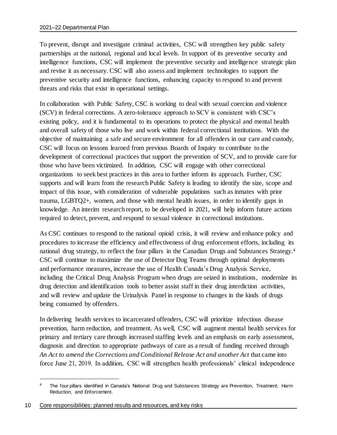To prevent, disrupt and investigate criminal activities, CSC will strengthen key public safety partnerships at the national, regional and local levels. In support of its preventive security and intelligence functions, CSC will implement the preventive security and intelligence strategic plan and revise it as necessary. CSC will also assess and implement technologies to support the preventive security and intelligence functions, enhancing capacity to respond to and prevent threats and risks that exist in operational settings.

In collaboration with Public Safety, CSC is working to deal with sexual coercion and violence (SCV) in federal corrections. A zero-tolerance approach to SCV is consistent with CSC's existing policy, and it is fundamental to its operations to protect the physical and mental health and overall safety of those who live and work within federal correctional institutions. With the objective of maintaining a safe and secure environment for all offenders in our care and custody, CSC will focus on lessons learned from previous Boards of Inquiry to contribute to the development of correctional practices that support the prevention of SCV, and to provide care for those who have been victimized. In addition, CSC will engage with other correctional organizations to seek best practices in this area to further inform its approach. Further, CSC supports and will learn from the research Public Safety is leading to identify the size, scope and impact of this issue, with consideration of vulnerable populations such as inmates with prior trauma, LGBTQ2+, women, and those with mental health issues, in order to identify gaps in knowledge. An interim research report, to be developed in 2021, will help inform future actions required to detect, prevent, and respond to sexual violence in correctional institutions.

As CSC continues to respond to the national opioid crisis, it will review and enhance policy and procedures to increase the efficiency and effectiveness of drug enforcement efforts, including its national drug strategy, to reflect the four pillars in the Canadian Drugs and Substances Strategy. 4 CSC will continue to maximize the use of Detector Dog Teams through optimal deployments and performance measures, increase the use of Health Canada's Drug Analysis Service, including the Critical Drug Analysis Program when drugs are seized in institutions, modernize its drug detection and identification tools to better assist staff in their drug interdiction activities, and will review and update the Urinalysis Panel in response to changes in the kinds of drugs being consumed by offenders.

In delivering health services to incarcerated offenders, CSC will prioritize infectious disease prevention, harm reduction, and treatment. As well, CSC will augment mental health services for primary and tertiary care through increased staffing levels and an emphasis on early assessment, diagnosis and direction to appropriate pathways of care as a result of funding received through *An Act to amend the Corrections and Conditional Release Act and another Act* that came into force June 21, 2019. In addition, CSC will strengthen health professionals' clinical independence

<sup>4</sup> The four pillars identified in Canada's National Drug and Substances Strategy are Prevention, Treatment, Harm Reduction, and Enforcement.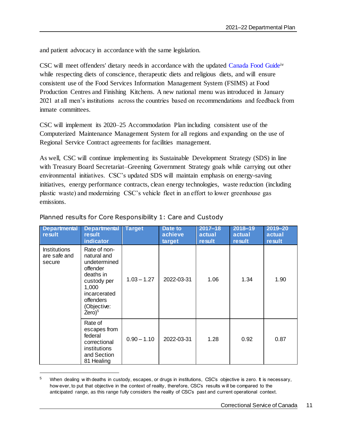and patient advocacy in accordance with the same legislation.

CSC will meet offenders' dietary needs in accordance with the updated [Canada Food Guide](https://food-guide.canada.ca/en/)iv while respecting diets of conscience, therapeutic diets and religious diets, and will ensure consistent use of the Food Services Information Management System (FSIMS) at Food Production Centres and Finishing Kitchens. A new national menu was introduced in January 2021 at all men's institutions across the countries based on recommendations and feedback from inmate committees.

CSC will implement its 2020–25 Accommodation Plan including consistent use of the Computerized Maintenance Management System for all regions and expanding on the use of Regional Service Contract agreements for facilities management.

As well, CSC will continue implementing its Sustainable Development Strategy (SDS) in line with Treasury Board Secretariat–Greening Government Strategy goals while carrying out other environmental initiatives. CSC's updated SDS will maintain emphasis on energy-saving initiatives, energy performance contracts, clean energy technologies, waste reduction (including plastic waste) and modernizing CSC's vehicle fleet in an effort to lower greenhouse gas emissions.

| <b>Departmental</b><br>result                 | <b>Departmental</b><br>result<br>indicator                                                                                                                   | <b>Target</b> | Date to<br>achieve<br>target | $2017 - 18$<br>actual<br>result | 2018-19<br>actual<br>result | 2019-20<br>actual<br>result |
|-----------------------------------------------|--------------------------------------------------------------------------------------------------------------------------------------------------------------|---------------|------------------------------|---------------------------------|-----------------------------|-----------------------------|
| <b>Institutions</b><br>are safe and<br>secure | Rate of non-<br>natural and<br>undetermined<br>offender<br>deaths in<br>custody per<br>1,000<br>incarcerated<br><b>offenders</b><br>(Objective:<br>$Zero)^5$ | $1.03 - 1.27$ | 2022-03-31                   | 1.06                            | 1.34                        | 1.90                        |
|                                               | Rate of<br>escapes from<br>federal<br>correctional<br>institutions<br>and Section<br>81 Healing                                                              | $0.90 - 1.10$ | 2022-03-31                   | 1.28                            | 0.92                        | 0.87                        |

### Planned results for Core Responsibility 1: Care and Custody

<sup>&</sup>lt;sup>5</sup> When dealing w ith deaths in custody, escapes, or drugs in institutions, CSC's objective is zero. It is necessary, how ever, to put that objective in the context of reality, therefore, CSC's results w ill be compared to the anticipated range, as this range fully considers the reality of CSC's past and current operational context.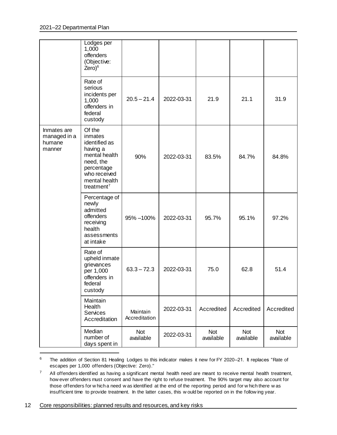|                                                 | Lodges per<br>1,000<br>offenders<br>(Objective:<br>$\text{Zero}^6$                                                                                    |                           |            |                  |                         |                  |
|-------------------------------------------------|-------------------------------------------------------------------------------------------------------------------------------------------------------|---------------------------|------------|------------------|-------------------------|------------------|
|                                                 | Rate of<br>serious<br>incidents per<br>1,000<br>offenders in<br>federal<br>custody                                                                    | $20.5 - 21.4$             | 2022-03-31 | 21.9             | 21.1                    | 31.9             |
| Inmates are<br>managed in a<br>humane<br>manner | Of the<br>inmates<br>identified as<br>having a<br>mental health<br>need, the<br>percentage<br>who received<br>mental health<br>treatment <sup>7</sup> | 90%                       | 2022-03-31 | 83.5%            | 84.7%                   | 84.8%            |
|                                                 | Percentage of<br>newly<br>admitted<br>offenders<br>receiving<br>health<br>assessments<br>at intake                                                    | 95% - 100%                | 2022-03-31 | 95.7%            | 95.1%                   | 97.2%            |
|                                                 | Rate of<br>upheld inmate<br>grievances<br>per 1,000<br>offenders in<br>federal<br>custody                                                             | $63.3 - 72.3$             | 2022-03-31 | 75.0             | 62.8                    | 51.4             |
|                                                 | Maintain<br>Health<br>Services<br>Accreditation                                                                                                       | Maintain<br>Accreditation | 2022-03-31 | Accredited       | Accredited              | Accredited       |
|                                                 | Median<br>number of<br>days spent in                                                                                                                  | Not<br>available          | 2022-03-31 | Not<br>available | <b>Not</b><br>available | Not<br>available |

<sup>6</sup> The addition of Section 81 Healing Lodges to this indicator makes it new for FY 2020–21. It replaces "Rate of escapes per 1,000 offenders (Objective: Zero)."

<sup>7</sup> All offenders identified as having a significant mental health need are meant to receive mental health treatment, how ever offenders must consent and have the right to refuse treatment. The 90% target may also account for those offenders for w hich a need w as identified at the end of the reporting period and for w hich there w as insufficient time to provide treatment. In the latter cases, this w ould be reported on in the follow ing year.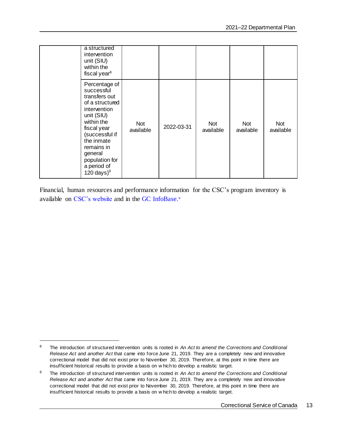| a structured<br>intervention<br>unit (SIU)<br>within the<br>fiscal year <sup>8</sup>                                                                                                                                                   |                  |            |                  |                  |                         |
|----------------------------------------------------------------------------------------------------------------------------------------------------------------------------------------------------------------------------------------|------------------|------------|------------------|------------------|-------------------------|
| Percentage of<br>successful<br>transfers out<br>of a structured<br>intervention<br>unit (SIU)<br>within the<br>fiscal year<br>(successful if<br>the inmate<br>remains in<br>general<br>population for<br>a period of<br>120 days $)^9$ | Not<br>available | 2022-03-31 | Not<br>available | Not<br>available | <b>Not</b><br>available |

Financial, human resources and performance information for the CSC's program inventory is available on [CSC's website](https://www.csc-scc.gc.ca/publications/005007-2608-01-en.shtml) and in the GC [InfoBase.](https://www.tbs-sct.gc.ca/ems-sgd/edb-bdd/index-eng.html)<sup>v</sup>

<sup>8</sup> The introduction of structured intervention units is rooted in *An Act to amend the Corrections and Conditional Release Act and another Act* that came into force June 21, 2019. They are a completely new and innovative correctional model that did not exist prior to November 30, 2019. Therefore, at this point in time there are insufficient historical results to provide a basis on w hich to develop a realistic target.

<sup>9</sup> The introduction of structured intervention units is rooted in *An Act to amend the Corrections and Conditional Release Act and another Act* that came into force June 21, 2019. They are a completely new and innovative correctional model that did not exist prior to November 30, 2019. Therefore, at this point in time there are insufficient historical results to provide a basis on w hich to develop a realistic target.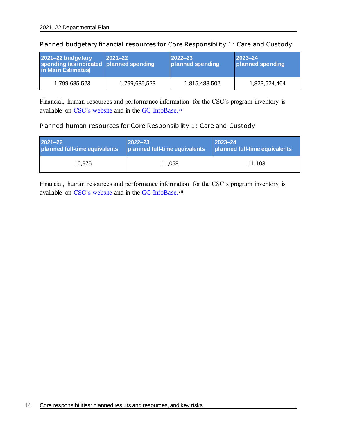| 2021-22 budgetary<br>spending (as indicated   planned spending<br>in Main Estimates) | $ 2021 - 22 $ | $2022 - 23$<br>planned spending | $ 2023 - 24 $<br>planned spending |
|--------------------------------------------------------------------------------------|---------------|---------------------------------|-----------------------------------|
| 1,799,685,523                                                                        | 1,799,685,523 | 1,815,488,502                   | 1,823,624,464                     |

Planned budgetary financial resources for Core Responsibility 1: Care and Custody

Financial, human resources and performance information for the CSC's program inventory is available on CSC's [website](https://www.csc-scc.gc.ca/publications/005007-2608-01-en.shtml) and in the GC [InfoBase.](https://www.tbs-sct.gc.ca/ems-sgd/edb-bdd/index-eng.html)<sup>vi</sup>

### Planned human resources for Core Responsibility 1: Care and Custody

| $2021 - 22$                   | $2022 - 23$                   | $ 2023 - 24$                  |  |
|-------------------------------|-------------------------------|-------------------------------|--|
| planned full-time equivalents | planned full-time equivalents | planned full-time equivalents |  |
| 10.975                        | 11.058                        | 11.103                        |  |

Financial, human resources and performance information for the CSC's program inventory is available on [CSC's website](https://www.csc-scc.gc.ca/publications/005007-2608-01-en.shtml) and in the GC [InfoBase.](https://www.tbs-sct.gc.ca/ems-sgd/edb-bdd/index-eng.html)<sup>vii</sup>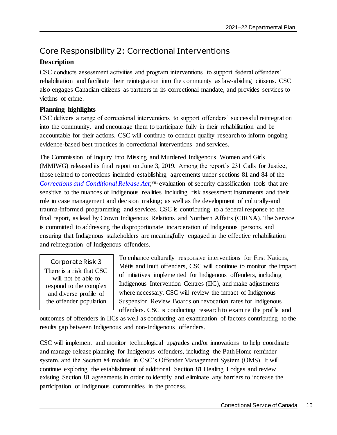### <span id="page-18-0"></span>Core Responsibility 2: Correctional Interventions

### **Description**

CSC conducts assessment activities and program interventions to support federal offenders' rehabilitation and facilitate their reintegration into the community as law-abiding citizens. CSC also engages Canadian citizens as partners in its correctional mandate, and provides services to victims of crime.

### **Planning highlights**

CSC delivers a range of correctional interventions to support offenders' successful reintegration into the community, and encourage them to participate fully in their rehabilitation and be accountable for their actions. CSC will continue to conduct quality research to inform ongoing evidence-based best practices in correctional interventions and services.

The Commission of Inquiry into Missing and Murdered Indigenous Women and Girls (MMIWG) released its final report on June 3, 2019. Among the report's 231 Calls for Justice, those related to corrections included establishing agreements under sections 81 and 84 of the [Corrections and Conditional Release Act](https://laws-lois.justice.gc.ca/eng/acts/c-44.6/fulltext.html);viii evaluation of security classification tools that are sensitive to the nuances of Indigenous realities including risk assessment instruments and their role in case management and decision making; as well as the development of culturally-and trauma-informed programming and services. CSC is contributing to a federal response to the final report, as lead by Crown Indigenous Relations and Northern Affairs (CIRNA). The Service is committed to addressing the disproportionate incarceration of Indigenous persons, and ensuring that Indigenous stakeholders are meaningfully engaged in the effective rehabilitation and reintegration of Indigenous offenders.

Corporate Risk 3 There is a risk that CSC will not be able to respond to the complex and diverse profile of the offender population

To enhance culturally responsive interventions for First Nations, Métis and Inuit offenders, CSC will continue to monitor the impact of initiatives implemented for Indigenous offenders, including Indigenous Intervention Centres (IIC), and make adjustments where necessary. CSC will review the impact of Indigenous Suspension Review Boards on revocation rates for Indigenous offenders. CSC is conducting research to examine the profile and

outcomes of offenders in IICs as well as conducting an examination of factors contributing to the results gap between Indigenous and non-Indigenous offenders.

CSC will implement and monitor technological upgrades and/or innovations to help coordinate and manage release planning for Indigenous offenders, including the Path Home reminder system, and the Section 84 module in CSC's Offender Management System (OMS). It will continue exploring the establishment of additional Section 81 Healing Lodges and review existing Section 81 agreements in order to identify and eliminate any barriers to increase the participation of Indigenous communities in the process.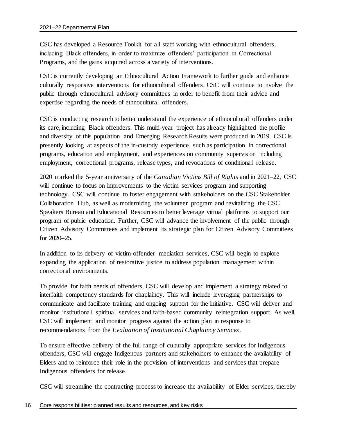CSC has developed a Resource Toolkit for all staff working with ethnocultural offenders, including Black offenders, in order to maximize offenders' participation in Correctional Programs, and the gains acquired across a variety of interventions.

CSC is currently developing an Ethnocultural Action Framework to further guide and enhance culturally responsive interventions for ethnocultural offenders. CSC will continue to involve the public through ethnocultural advisory committees in order to benefit from their advice and expertise regarding the needs of ethnocultural offenders.

CSC is conducting research to better understand the experience of ethnocultural offenders under its care, including Black offenders. This multi-year project has already highlighted the profile and diversity of this population and Emerging Research Results were produced in 2019. CSC is presently looking at aspects of the in-custody experience, such as participation in correctional programs, education and employment, and experiences on community supervision including employment, correctional programs, release types, and revocations of conditional release.

2020 marked the 5-year anniversary of the *Canadian Victims Bill of Rights* and in 2021–22, CSC will continue to focus on improvements to the victim services program and supporting technology. CSC will continue to foster engagement with stakeholders on the CSC Stakeholder Collaboration Hub, as well as modernizing the volunteer program and revitalizing the CSC Speakers Bureau and Educational Resources to better leverage virtual platforms to support our program of public education. Further, CSC will advance the involvement of the public through Citizen Advisory Committees and implement its strategic plan for Citizen Advisory Committees for 2020–25.

In addition to its delivery of victim-offender mediation services, CSC will begin to explore expanding the application of restorative justice to address population management within correctional environments.

To provide for faith needs of offenders, CSC will develop and implement a strategy related to interfaith competency standards for chaplaincy. This will include leveraging partnerships to communicate and facilitate training and ongoing support for the initiative. CSC will deliver and monitor institutional spiritual services and faith-based community reintegration support. As well, CSC will implement and monitor progress against the action plan in response to recommendations from the *Evaluation of Institutional Chaplaincy Services*.

To ensure effective delivery of the full range of culturally appropriate services for Indigenous offenders, CSC will engage Indigenous partners and stakeholders to enhance the availability of Elders and to reinforce their role in the provision of interventions and services that prepare Indigenous offenders for release.

CSC will streamline the contracting process to increase the availability of Elder services, thereby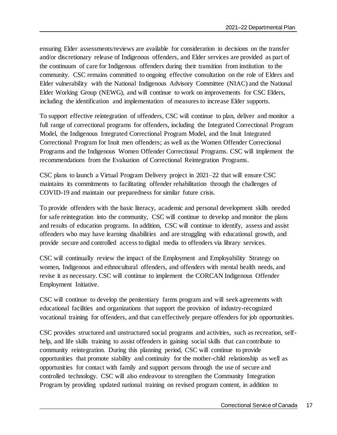ensuring Elder assessments/reviews are available for consideration in decisions on the transfer and/or discretionary release of Indigenous offenders, and Elder services are provided as part of the continuum of care for Indigenous offenders during their transition from institution to the community. CSC remains committed to ongoing effective consultation on the role of Elders and Elder vulnerability with the National Indigenous Advisory Committee (NIAC) and the National Elder Working Group (NEWG), and will continue to work on improvements for CSC Elders, including the identification and implementation of measures to increase Elder supports.

To support effective reintegration of offenders, CSC will continue to plan, deliver and monitor a full range of correctional programs for offenders, including the Integrated Correctional Program Model, the Indigenous Integrated Correctional Program Model, and the Inuit Integrated Correctional Program for Inuit men offenders; as well as the Women Offender Correctional Programs and the Indigenous Women Offender Correctional Programs. CSC will implement the recommendations from the Evaluation of Correctional Reintegration Programs.

CSC plans to launch a Virtual Program Delivery project in 2021–22 that will ensure CSC maintains its commitments to facilitating offender rehabilitation through the challenges of COVID-19 and maintain our preparedness for similar future crisis.

To provide offenders with the basic literacy, academic and personal development skills needed for safe reintegration into the community, CSC will continue to develop and monitor the plans and results of education programs. In addition, CSC will continue to identify, assess and assist offenders who may have learning disabilities and are struggling with educational growth, and provide secure and controlled access to digital media to offenders via library services.

CSC will continually review the impact of the Employment and Employability Strategy on women, Indigenous and ethnocultural offenders, and offenders with mental health needs, and revise it as necessary. CSC will continue to implement the CORCAN Indigenous Offender Employment Initiative.

CSC will continue to develop the penitentiary farms program and will seek agreements with educational facilities and organizations that support the provision of industry-recognized vocational training for offenders, and that can effectively prepare offenders for job opportunities.

CSC provides structured and unstructured social programs and activities, such as recreation, selfhelp, and life skills training to assist offenders in gaining social skills that can contribute to community reintegration. During this planning period, CSC will continue to provide opportunities that promote stability and continuity for the mother-child relationship as well as opportunities for contact with family and support persons through the use of secure and controlled technology. CSC will also endeavour to strengthen the Community Integration Program by providing updated national training on revised program content, in addition to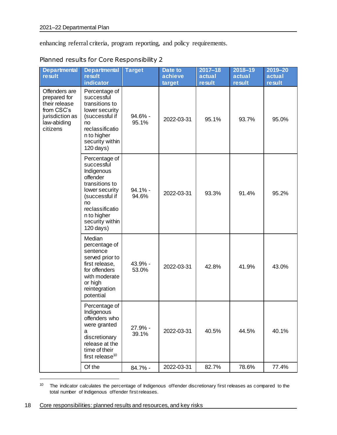enhancing referral criteria, program reporting, and policy requirements.

| <b>Departmental</b><br>result                                                                              | <b>Departmental</b><br><b>result</b><br>indicator                                                                                                                                     | <b>Target</b>       | Date to<br>achieve<br>target | $2017 - 18$<br>actual<br><b>result</b> | $2018 - 19$<br>actual<br><b>result</b> | $2019 - 20$<br>actual<br><b>result</b> |
|------------------------------------------------------------------------------------------------------------|---------------------------------------------------------------------------------------------------------------------------------------------------------------------------------------|---------------------|------------------------------|----------------------------------------|----------------------------------------|----------------------------------------|
| Offenders are<br>prepared for<br>their release<br>from CSC's<br>jurisdiction as<br>law-abiding<br>citizens | Percentage of<br>successful<br>transitions to<br>lower security<br>(successful if<br>no<br>reclassificatio<br>n to higher<br>security within<br>120 days)                             | $94.6\%$ -<br>95.1% | 2022-03-31                   | 95.1%                                  | 93.7%                                  | 95.0%                                  |
|                                                                                                            | Percentage of<br>successful<br>Indigenous<br>offender<br>transitions to<br>lower security<br>(successful if<br>no<br>reclassificatio<br>n to higher<br>security within<br>$120$ days) | $94.1% -$<br>94.6%  | 2022-03-31                   | 93.3%                                  | 91.4%                                  | 95.2%                                  |
|                                                                                                            | Median<br>percentage of<br>sentence<br>served prior to<br>first release,<br>for offenders<br>with moderate<br>or high<br>reintegration<br>potential                                   | 43.9% -<br>53.0%    | 2022-03-31                   | 42.8%                                  | 41.9%                                  | 43.0%                                  |
|                                                                                                            | Percentage of<br>Indigenous<br>offenders who<br>were granted<br>a<br>discretionary<br>release at the<br>time of their<br>first release <sup>10</sup>                                  | 27.9% -<br>39.1%    | 2022-03-31                   | 40.5%                                  | 44.5%                                  | 40.1%                                  |
|                                                                                                            | Of the                                                                                                                                                                                | 84.7% -             | 2022-03-31                   | 82.7%                                  | 78.6%                                  | 77.4%                                  |

Planned results for Core Responsibility 2

<sup>&</sup>lt;sup>10</sup> The indicator calculates the percentage of Indigenous offender discretionary first releases as compared to the total number of Indigenous offender first releases.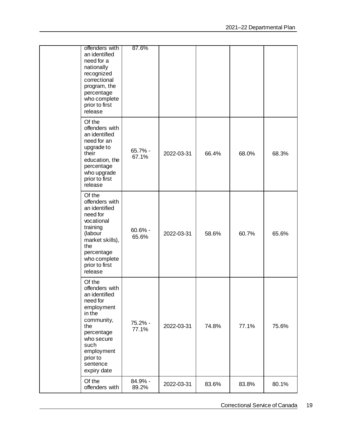|  | offenders with<br>an identified<br>need for a<br>nationally<br>recognized<br>correctional<br>program, the<br>percentage<br>who complete<br>prior to first<br>release                        | 87.6%               |            |       |       |       |
|--|---------------------------------------------------------------------------------------------------------------------------------------------------------------------------------------------|---------------------|------------|-------|-------|-------|
|  | Of the<br>offenders with<br>an identified<br>need for an<br>upgrade to<br>their<br>education, the<br>percentage<br>who upgrade<br>prior to first<br>release                                 | $65.7\%$ -<br>67.1% | 2022-03-31 | 66.4% | 68.0% | 68.3% |
|  | Of the<br>offenders with<br>an identified<br>need for<br>vocational<br>training<br>(labour<br>market skills),<br>the<br>percentage<br>who complete<br>prior to first<br>release             | $60.6% -$<br>65.6%  | 2022-03-31 | 58.6% | 60.7% | 65.6% |
|  | Of the<br>offenders with<br>an identified<br>need for<br>employment<br>in the<br>community,<br>the<br>percentage<br>who secure<br>such<br>employment<br>prior to<br>sentence<br>expiry date | 75.2% -<br>77.1%    | 2022-03-31 | 74.8% | 77.1% | 75.6% |
|  | Of the<br>offenders with                                                                                                                                                                    | 84.9% -<br>89.2%    | 2022-03-31 | 83.6% | 83.8% | 80.1% |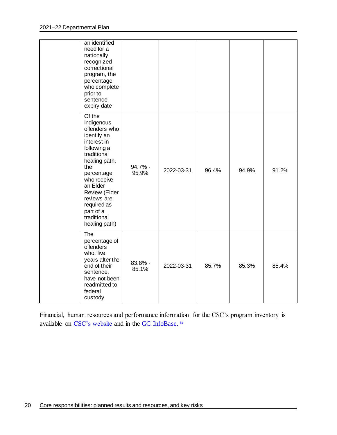|  | an identified<br>need for a<br>nationally<br>recognized<br>correctional<br>program, the<br>percentage<br>who complete<br>prior to<br>sentence<br>expiry date                                                                                                   |                  |            |       |       |       |
|--|----------------------------------------------------------------------------------------------------------------------------------------------------------------------------------------------------------------------------------------------------------------|------------------|------------|-------|-------|-------|
|  | Of the<br>Indigenous<br>offenders who<br>identify an<br>interest in<br>following a<br>traditional<br>healing path,<br>the<br>percentage<br>who receive<br>an Elder<br>Review (Elder<br>reviews are<br>required as<br>part of a<br>traditional<br>healing path) | 94.7% -<br>95.9% | 2022-03-31 | 96.4% | 94.9% | 91.2% |
|  | The<br>percentage of<br>offenders<br>who, five<br>years after the<br>end of their<br>sentence,<br>have not been<br>readmitted to<br>federal<br>custody                                                                                                         | 83.8% -<br>85.1% | 2022-03-31 | 85.7% | 85.3% | 85.4% |

Financial, human resources and performance information for the CSC's program inventory is available on [CSC's website](https://www.csc-scc.gc.ca/publications/005007-2608-01-en.shtml) and in the GC [InfoBase.](https://www.tbs-sct.gc.ca/ems-sgd/edb-bdd/index-eng.html) ix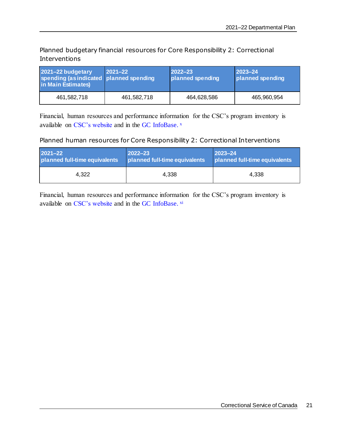Planned budgetary financial resources for Core Responsibility 2: Correctional Interventions

| 2021-22 budgetary<br>spending (as indicated   planned spending<br>in Main Estimates) | $ 2021 - 22 $ | $2022 - 23$<br>planned spending | $ 2023 - 24 $<br>planned spending |
|--------------------------------------------------------------------------------------|---------------|---------------------------------|-----------------------------------|
| 461,582,718                                                                          | 461,582,718   | 464,628,586                     | 465,960,954                       |

Financial, human resources and performance information for the CSC's program inventory is available on [CSC's website](https://www.csc-scc.gc.ca/publications/005007-2608-01-en.shtml) and in the GC [InfoBase.](https://www.tbs-sct.gc.ca/ems-sgd/edb-bdd/index-eng.html)<sup>x</sup>

### Planned human resources for Core Responsibility 2: Correctional Interventions

| $2021 - 22$                   | $ 2022 - 23 $                 | $ 2023 - 24 $                 |  |
|-------------------------------|-------------------------------|-------------------------------|--|
| planned full-time equivalents | planned full-time equivalents | planned full-time equivalents |  |
| 4.322                         | 4.338                         | 4.338                         |  |

Financial, human resources and performance information for the CSC's program inventory is available on [CSC's website](https://www.csc-scc.gc.ca/publications/005007-2608-01-en.shtml) and in the GC [InfoBase.](https://www.tbs-sct.gc.ca/ems-sgd/edb-bdd/index-eng.html) xi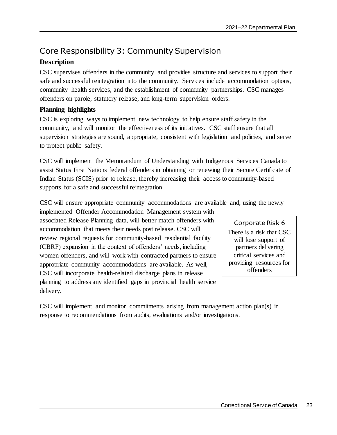### <span id="page-26-0"></span>Core Responsibility 3: Community Supervision

### **Description**

CSC supervises offenders in the community and provides structure and services to support their safe and successful reintegration into the community. Services include accommodation options, community health services, and the establishment of community partnerships. CSC manages offenders on parole, statutory release, and long-term supervision orders.

### **Planning highlights**

CSC is exploring ways to implement new technology to help ensure staff safety in the community, and will monitor the effectiveness of its initiatives. CSC staff ensure that all supervision strategies are sound, appropriate, consistent with legislation and policies, and serve to protect public safety.

CSC will implement the Memorandum of Understanding with Indigenous Services Canada to assist Status First Nations federal offenders in obtaining or renewing their Secure Certificate of Indian Status (SCIS) prior to release, thereby increasing their access to community-based supports for a safe and successful reintegration.

CSC will ensure appropriate community accommodations are available and, using the newly

implemented Offender Accommodation Management system with associated Release Planning data, will better match offenders with accommodation that meets their needs post release. CSC will review regional requests for community-based residential facility (CBRF) expansion in the context of offenders' needs, including women offenders, and will work with contracted partners to ensure appropriate community accommodations are available. As well, CSC will incorporate health-related discharge plans in release planning to address any identified gaps in provincial health service delivery.

Corporate Risk 6 There is a risk that CSC will lose support of partners delivering critical services and providing resources for

offenders

CSC will implement and monitor commitments arising from management action plan(s) in response to recommendations from audits, evaluations and/or investigations.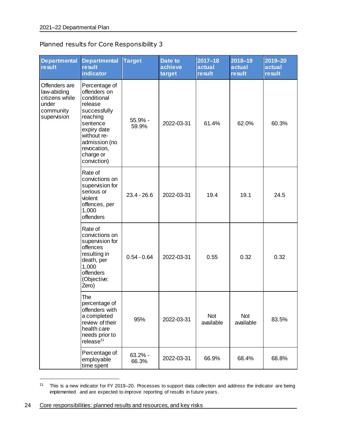### Planned results for Core Responsibility 3

| <b>Departmental</b><br>result                                                       | <b>Departmental</b><br><b>result</b><br>indicator                                                                                                                                         | <b>Target</b>      | Date to<br>achieve<br>target | $2017 - 18$<br>actual<br><b>result</b> | $2018 - 19$<br>actual<br><b>result</b> | 2019-20<br>actual<br><b>result</b> |
|-------------------------------------------------------------------------------------|-------------------------------------------------------------------------------------------------------------------------------------------------------------------------------------------|--------------------|------------------------------|----------------------------------------|----------------------------------------|------------------------------------|
| Offenders are<br>law-abiding<br>citizens while<br>under<br>community<br>supervision | Percentage of<br>offenders on<br>conditional<br>release<br>successfully<br>reaching<br>sentence<br>expiry date<br>without re-<br>admission (no<br>revocation,<br>charge or<br>conviction) | 55.9% -<br>59.9%   | 2022-03-31                   | 61.4%                                  | 62.0%                                  | 60.3%                              |
|                                                                                     | Rate of<br>convictions on<br>supervision for<br>serious or<br>violent<br>offences, per<br>1,000<br>offenders                                                                              | $23.4 - 26.6$      | 2022-03-31                   | 19.4                                   | 19.1                                   | 24.5                               |
|                                                                                     | Rate of<br>convictions on<br>supervision for<br>offences<br>resulting in<br>death, per<br>1,000<br>offenders<br>(Objective:<br>Zero)                                                      | $0.54 - 0.64$      | 2022-03-31                   | 0.55                                   | 0.32                                   | 0.32                               |
|                                                                                     | The<br>percentage of<br>offenders with<br>a completed<br>review of their<br>health care<br>needs prior to<br>release <sup>11</sup>                                                        | 95%                | 2022-03-31                   | Not<br>available                       | Not<br>available                       | 83.5%                              |
|                                                                                     | Percentage of<br>employable<br>time spent                                                                                                                                                 | $63.2% -$<br>66.3% | 2022-03-31                   | 66.9%                                  | 68.4%                                  | 68.8%                              |

<sup>&</sup>lt;sup>11</sup> This is a new indicator for FY 2019–20. Processes to support data collection and address the indicator are being implemented and are expected to improve reporting of results in future years.

<sup>24</sup> Core responsibilities: planned results and resources, and key risks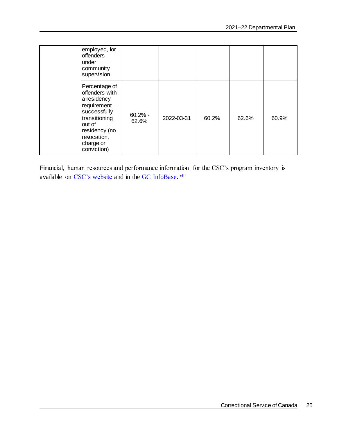| employed, for<br>offenders<br>under<br>community<br>supervision                                                                                                      |                    |            |       |       |       |
|----------------------------------------------------------------------------------------------------------------------------------------------------------------------|--------------------|------------|-------|-------|-------|
| Percentage of<br>offenders with<br>a residency<br>requirement<br>successfully<br>transitioning<br>out of<br>residency (no<br>revocation,<br>charge or<br>conviction) | $60.2% -$<br>62.6% | 2022-03-31 | 60.2% | 62.6% | 60.9% |

Financial, human resources and performance information for the CSC's program inventory is available on [CSC's website](https://www.csc-scc.gc.ca/publications/005007-2608-01-en.shtml) and in the GC [InfoBase.](https://www.tbs-sct.gc.ca/ems-sgd/edb-bdd/index-eng.html) xii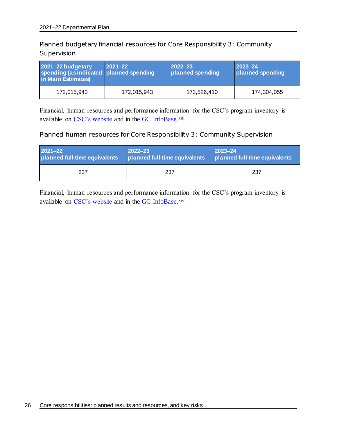Planned budgetary financial resources for Core Responsibility 3: Community Supervision

| 2021-22 budgetary<br>spending (as indicated   planned spending<br>in Main Estimates) | $ 2021 - 22 $ | $ 2022 - 23 $<br>planned spending | $ 2023 - 24 $<br>planned spending |
|--------------------------------------------------------------------------------------|---------------|-----------------------------------|-----------------------------------|
| 172,015,943                                                                          | 172,015,943   | 173,526,410                       | 174,304,055                       |

Financial, human resources and performance information for the CSC's program inventory is available on [CSC's website](https://www.csc-scc.gc.ca/publications/005007-2608-01-en.shtml) and in the GC [InfoBase.](https://www.tbs-sct.gc.ca/ems-sgd/edb-bdd/index-eng.html)<sup>xiii</sup>

### Planned human resources for Core Responsibility 3: Community Supervision

| $2021 - 22$                   | $ 2022 - 23 $                 | $ 2023 - 24 $                 |
|-------------------------------|-------------------------------|-------------------------------|
| planned full-time equivalents | planned full-time equivalents | planned full-time equivalents |
| 237                           | 237                           | 237                           |

Financial, human resources and performance information for the CSC's program inventory is available on [CSC's website](https://www.csc-scc.gc.ca/publications/005007-2608-01-en.shtml) and in the GC [InfoBase.](https://www.tbs-sct.gc.ca/ems-sgd/edb-bdd/index-eng.html)xiv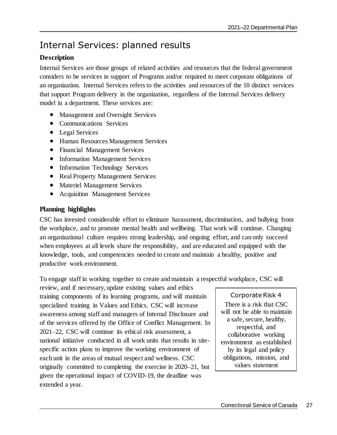## <span id="page-30-0"></span>Internal Services: planned results

### **Description**

Internal Services are those groups of related activities and resources that the federal government considers to be services in support of Programs and/or required to meet corporate obligations of an organization. Internal Services refers to the activities and resources of the 10 distinct services that support Program delivery in the organization, regardless of the Internal Services delivery model in a department. These services are:

- Management and Oversight Services
- Communications Services
- Legal Services
- Human Resources Management Services
- Financial Management Services
- Information Management Services
- Information Technology Services
- Real Property Management Services
- Materiel Management Services
- Acquisition Management Services

### **Planning highlights**

CSC has invested considerable effort to eliminate harassment, discrimination, and bullying from the workplace, and to promote mental health and wellbeing. That work will continue. Changing an organizational culture requires strong leadership, and ongoing effort, and can only succeed when employees at all levels share the responsibility, and are educated and equipped with the knowledge, tools, and competencies needed to create and maintain a healthy, positive and productive work environment.

To engage staff in working together to create and maintain a respectful workplace, CSC will

review, and if necessary, update existing values and ethics training components of its learning programs, and will maintain specialized training in Values and Ethics. CSC will increase awareness among staff and managers of Internal Disclosure and of the services offered by the Office of Conflict Management. In 2021–22, CSC will continue its ethical risk assessment, a national initiative conducted in all work units that results in sitespecific action plans to improve the working environment of each unit in the areas of mutual respect and wellness. CSC originally committed to completing the exercise in 2020–21, but given the operational impact of COVID-19, the deadline was extended a year.

Corporate Risk 4 There is a risk that CSC will not be able to maintain a safe, secure, healthy, respectful, and collaborative working environment as established by its legal and policy obligations, mission, and values statement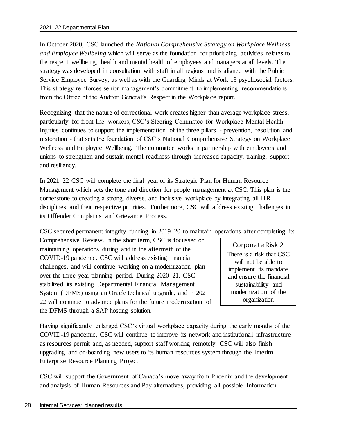In October 2020, CSC launched the *National Comprehensive Strategy on Workplace Wellness and Employee Wellbeing* which will serve as the foundation for prioritizing activities relates to the respect, wellbeing, health and mental health of employees and managers at all levels. The strategy was developed in consultation with staff in all regions and is aligned with the Public Service Employee Survey, as well as with the Guarding Minds at Work 13 psychosocial factors. This strategy reinforces senior management's commitment to implementing recommendations from the Office of the Auditor General's Respect in the Workplace report.

Recognizing that the nature of correctional work creates higher than average workplace stress, particularly for front-line workers, CSC's Steering Committee for Workplace Mental Health Injuries continues to support the implementation of the three pillars - prevention, resolution and restoration - that sets the foundation of CSC's National Comprehensive Strategy on Workplace Wellness and Employee Wellbeing. The committee works in partnership with employees and unions to strengthen and sustain mental readiness through increased capacity, training, support and resiliency.

In 2021–22 CSC will complete the final year of its Strategic Plan for Human Resource Management which sets the tone and direction for people management at CSC. This plan is the cornerstone to creating a strong, diverse, and inclusive workplace by integrating all HR disciplines and their respective priorities. Furthermore, CSC will address existing challenges in its Offender Complaints and Grievance Process.

CSC secured permanent integrity funding in 2019–20 to maintain operations after completing its

Comprehensive Review. In the short term, CSC is focussed on maintaining operations during and in the aftermath of the COVID-19 pandemic. CSC will address existing financial challenges, and will continue working on a modernization plan over the three-year planning period. During 2020–21, CSC stabilized its existing Departmental Financial Management System (DFMS) using an Oracle technical upgrade, and in 2021– 22 will continue to advance plans for the future modernization of the DFMS through a SAP hosting solution.

Corporate Risk 2 There is a risk that CSC will not be able to implement its mandate and ensure the financial sustainability and modernization of the organization

Having significantly enlarged CSC's virtual workplace capacity during the early months of the COVID-19 pandemic, CSC will continue to improve its network and institutional infrastructure as resources permit and, as needed, support staff working remotely. CSC will also finish upgrading and on-boarding new users to its human resources system through the Interim Enterprise Resource Planning Project.

CSC will support the Government of Canada's move away from Phoenix and the development and analysis of Human Resources and Pay alternatives, providing all possible Information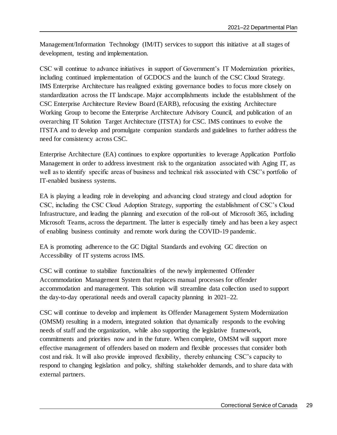Management/Information Technology (IM/IT) services to support this initiative at all stages of development, testing and implementation.

CSC will continue to advance initiatives in support of Government's IT Modernization priorities, including continued implementation of GCDOCS and the launch of the CSC Cloud Strategy. IMS Enterprise Architecture has realigned existing governance bodies to focus more closely on standardization across the IT landscape. Major accomplishments include the establishment of the CSC Enterprise Architecture Review Board (EARB), refocusing the existing Architecture Working Group to become the Enterprise Architecture Advisory Council, and publication of an overarching IT Solution Target Architecture (ITSTA) for CSC. IMS continues to evolve the ITSTA and to develop and promulgate companion standards and guidelines to further address the need for consistency across CSC.

Enterprise Architecture (EA) continues to explore opportunities to leverage Application Portfolio Management in order to address investment risk to the organization associated with Aging IT, as well as to identify specific areas of business and technical risk associated with CSC's portfolio of IT-enabled business systems.

EA is playing a leading role in developing and advancing cloud strategy and cloud adoption for CSC, including the CSC Cloud Adoption Strategy, supporting the establishment of CSC's Cloud Infrastructure, and leading the planning and execution of the roll-out of Microsoft 365, including Microsoft Teams, across the department. The latter is especially timely and has been a key aspect of enabling business continuity and remote work during the COVID-19 pandemic.

EA is promoting adherence to the GC Digital Standards and evolving GC direction on Accessibility of IT systems across IMS.

CSC will continue to stabilize functionalities of the newly implemented Offender Accommodation Management System that replaces manual processes for offender accommodation and management. This solution will streamline data collection used to support the day-to-day operational needs and overall capacity planning in 2021–22.

CSC will continue to develop and implement its Offender Management System Modernization (OMSM) resulting in a modern, integrated solution that dynamically responds to the evolving needs of staff and the organization, while also supporting the legislative framework, commitments and priorities now and in the future. When complete, OMSM will support more effective management of offenders based on modern and flexible processes that consider both cost and risk. It will also provide improved flexibility, thereby enhancing CSC's capacity to respond to changing legislation and policy, shifting stakeholder demands, and to share data with external partners.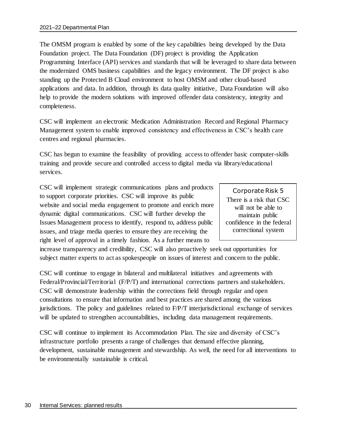The OMSM program is enabled by some of the key capabilities being developed by the Data Foundation project. The Data Foundation (DF) project is providing the Application Programming Interface (API) services and standards that will be leveraged to share data between the modernized OMS business capabilities and the legacy environment. The DF project is also standing up the Protected B Cloud environment to host OMSM and other cloud-based applications and data. In addition, through its data quality initiative, Data Foundation will also help to provide the modern solutions with improved offender data consistency, integrity and completeness.

CSC will implement an electronic Medication Administration Record and Regional Pharmacy Management system to enable improved consistency and effectiveness in CSC's health care centres and regional pharmacies.

CSC has begun to examine the feasibility of providing access to offender basic computer-skills training and provide secure and controlled access to digital media via library/educational services.

CSC will implement strategic communications plans and products to support corporate priorities. CSC will improve its public website and social media engagement to promote and enrich more dynamic digital communications. CSC will further develop the Issues Management process to identify, respond to, address public issues, and triage media queries to ensure they are receiving the right level of approval in a timely fashion. As a further means to

Corporate Risk 5 There is a risk that CSC will not be able to maintain public confidence in the federal correctional system

increase transparency and credibility, CSC will also proactively seek out opportunities for subject matter experts to act as spokespeople on issues of interest and concern to the public.

CSC will continue to engage in bilateral and multilateral initiatives and agreements with Federal/Provincial/Territorial (F/P/T) and international corrections partners and stakeholders. CSC will demonstrate leadership within the corrections field through regular and open consultations to ensure that information and best practices are shared among the various jurisdictions. The policy and guidelines related to F/P/T interjurisdictional exchange of services will be updated to strengthen accountabilities, including data management requirements.

CSC will continue to implement its Accommodation Plan. The size and diversity of CSC's infrastructure portfolio presents a range of challenges that demand effective planning, development, sustainable management and stewardship. As well, the need for all interventions to be environmentally sustainable is critical.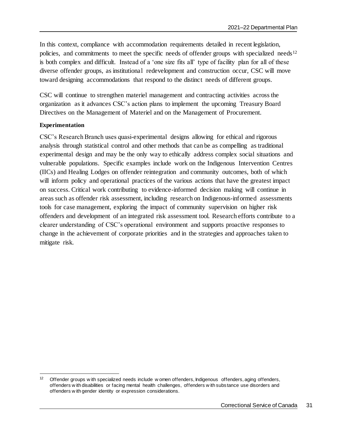In this context, compliance with accommodation requirements detailed in recent legislation, policies, and commitments to meet the specific needs of offender groups with specialized needs<sup>12</sup> is both complex and difficult. Instead of a 'one size fits all' type of facility plan for all of these diverse offender groups, as institutional redevelopment and construction occur, CSC will move toward designing accommodations that respond to the distinct needs of different groups.

CSC will continue to strengthen materiel management and contracting activities across the organization as it advances CSC's action plans to implement the upcoming Treasury Board Directives on the Management of Materiel and on the Management of Procurement.

#### **Experimentation**

CSC's Research Branch uses quasi-experimental designs allowing for ethical and rigorous analysis through statistical control and other methods that can be as compelling as traditional experimental design and may be the only way to ethically address complex social situations and vulnerable populations. Specific examples include work on the Indigenous Intervention Centres (IICs) and Healing Lodges on offender reintegration and community outcomes, both of which will inform policy and operational practices of the various actions that have the greatest impact on success. Critical work contributing to evidence-informed decision making will continue in areas such as offender risk assessment, including research on Indigenous-informed assessments tools for case management, exploring the impact of community supervision on higher risk offenders and development of an integrated risk assessment tool. Research efforts contribute to a clearer understanding of CSC's operational environment and supports proactive responses to change in the achievement of corporate priorities and in the strategies and approaches taken to mitigate risk.

 $12$ Offender groups w ith specialized needs include w omen offenders, Indigenous offenders, aging offenders, offenders w ith disabilities or facing mental health challenges, offenders w ith subs tance use disorders and offenders w ith gender identity or expression considerations.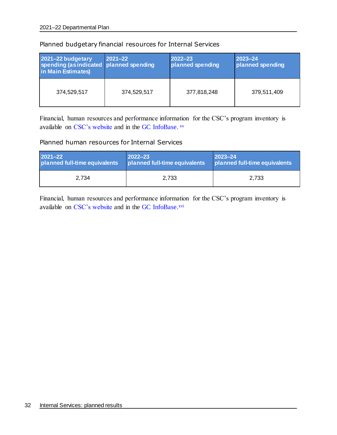| 2021-22 budgetary<br>spending (as indicated   planned spending<br>in Main Estimates) | $2021 - 22$ | 2022-23<br>planned spending | $2023 - 24$<br>planned spending |
|--------------------------------------------------------------------------------------|-------------|-----------------------------|---------------------------------|
| 374,529,517                                                                          | 374,529,517 | 377,818,248                 | 379,511,409                     |

### Planned budgetary financial resources for Internal Services

Financial, human resources and performance information for the CSC's program inventory is available on [CSC's website](https://www.csc-scc.gc.ca/publications/005007-2608-01-en.shtml) and in the GC [InfoBase.](https://www.tbs-sct.gc.ca/ems-sgd/edb-bdd/index-eng.html) XV

### Planned human resources for Internal Services

| 2021-22                       | $ 2022 - 23 $                 | $ 2023 - 24 $                 |
|-------------------------------|-------------------------------|-------------------------------|
| planned full-time equivalents | planned full-time equivalents | planned full-time equivalents |
| 2.734                         | 2.733                         | 2.733                         |

Financial, human resources and performance information for the CSC's program inventory is available on [CSC's website](https://www.csc-scc.gc.ca/publications/005007-2608-01-en.shtml) and in the GC [InfoBase.](https://www.tbs-sct.gc.ca/ems-sgd/edb-bdd/index-eng.html)<sup>xvi</sup>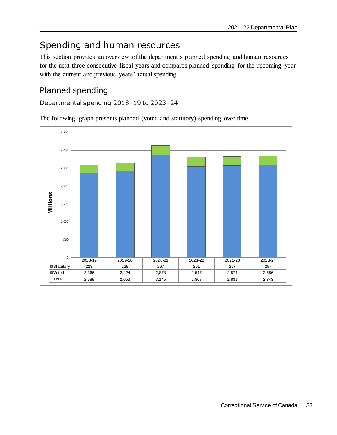## <span id="page-36-0"></span>Spending and human resources

This section provides an overview of the department's planned spending and human resources for the next three consecutive fiscal years and compares planned spending for the upcoming year with the current and previous years' actual spending.

### <span id="page-36-1"></span>Planned spending

Departmental spending 2018–19 to 2023–24

The following graph presents planned (voted and statutory) spending over time.

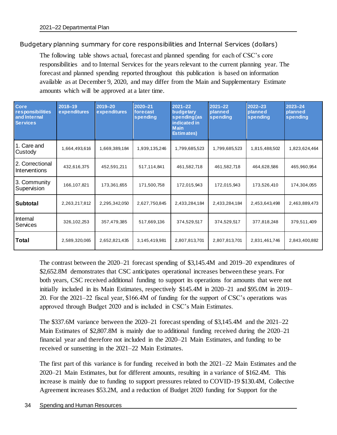Budgetary planning summary for core responsibilities and Internal Services (dollars)

The following table shows actual, forecast and planned spending for each of CSC's core responsibilities and to Internal Services for the years relevant to the current planning year. The forecast and planned spending reported throughout this publication is based on information available as at December 9, 2020, and may differ from the Main and Supplementary Estimate amounts which will be approved at a later time.

| Core<br>responsibilities<br>and Internal<br><b>Services</b> | 2018-19<br>expenditures | 2019-20<br>expenditures | $2020 - 21$<br>forecast<br>spending | $2021 - 22$<br>budgetary<br>spending (as<br>indicated in<br><b>Main</b><br>Estimates) |                                | $2021 - 22$<br>planned<br>spending |               | $2022 - 23$<br>planned<br>spending | $2023 - 24$<br>planned<br>spending |
|-------------------------------------------------------------|-------------------------|-------------------------|-------------------------------------|---------------------------------------------------------------------------------------|--------------------------------|------------------------------------|---------------|------------------------------------|------------------------------------|
| 1. Care and<br>Custody                                      | 1,664,493,616           | 1,669,389,184           | 1,939,135,246<br>1,799,685,523      |                                                                                       | 1,799,685,523                  | 1,815,488,502                      | 1,823,624,464 |                                    |                                    |
| 2. Correctional<br><b>Interventions</b>                     | 432,616,375             | 452,591,211             | 517,114,841                         | 461,582,718<br>461,582,718                                                            |                                | 464,628,586                        | 465,960,954   |                                    |                                    |
| 3. Community<br>Supervision                                 | 166,107,821             | 173,361,655             | 171,500,758                         | 172,015,943<br>172,015,943                                                            |                                | 173,526,410                        | 174,304,055   |                                    |                                    |
| <b>Subtotal</b>                                             | 2,263,217,812           | 2,295,342,050           | 2,627,750,845                       | 2,433,284,184                                                                         | 2,433,284,184<br>2,453,643,498 |                                    | 2,463,889,473 |                                    |                                    |
| Internal<br><b>Services</b>                                 | 326,102,253             | 357,479,385             | 517,669,136                         | 374,529,517<br>374,529,517                                                            |                                | 377,818,248                        | 379,511,409   |                                    |                                    |
| Total                                                       | 2,589,320,065           | 2,652,821,435           | 3,145,419,981                       | 2,807,813,701<br>2,807,813,701                                                        |                                | 2,831,461,746                      | 2,843,400,882 |                                    |                                    |

The contrast between the 2020–21 forecast spending of \$3,145.4M and 2019–20 expenditures of \$2,652.8M demonstrates that CSC anticipates operational increases between these years. For both years, CSC received additional funding to support its operations for amounts that were not initially included in its Main Estimates, respectively \$145.4M in 2020–21 and \$95.0M in 2019– 20. For the 2021–22 fiscal year, \$166.4M of funding for the support of CSC's operations was approved through Budget 2020 and is included in CSC's Main Estimates.

The \$337.6M variance between the 2020–21 forecast spending of \$3,145.4M and the 2021–22 Main Estimates of \$2,807.8M is mainly due to additional funding received during the 2020–21 financial year and therefore not included in the 2020–21 Main Estimates, and funding to be received or sunsetting in the 2021–22 Main Estimates.

The first part of this variance is for funding received in both the 2021–22 Main Estimates and the 2020–21 Main Estimates, but for different amounts, resulting in a variance of \$162.4M. This increase is mainly due to funding to support pressures related to COVID-19 \$130.4M, Collective Agreement increases \$53.2M, and a reduction of Budget 2020 funding for Support for the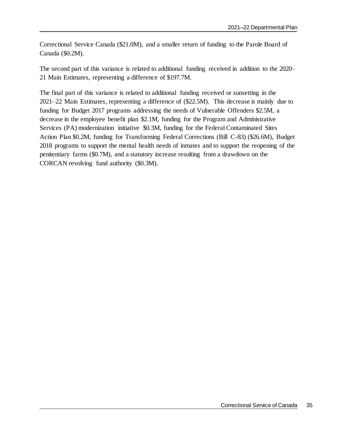Correctional Service Canada (\$21.0M), and a smaller return of funding to the Parole Board of Canada (\$0.2M).

The second part of this variance is related to additional funding received in addition to the 2020– 21 Main Estimates, representing a difference of \$197.7M.

The final part of this variance is related to additional funding received or sunsetting in the 2021–22 Main Estimates, representing a difference of (\$22.5M). This decrease is mainly due to funding for Budget 2017 programs addressing the needs of Vulnerable Offenders \$2.5M, a decrease in the employee benefit plan \$2.1M, funding for the Program and Administrative Services (PA) modernization initiative \$0.3M, funding for the Federal Contaminated Sites Action Plan \$0.2M, funding for Transforming Federal Corrections (Bill C-83) (\$26.6M), Budget 2018 programs to support the mental health needs of inmates and to support the reopening of the penitentiary farms (\$0.7M), and a statutory increase resulting from a drawdown on the CORCAN revolving fund authority (\$0.3M).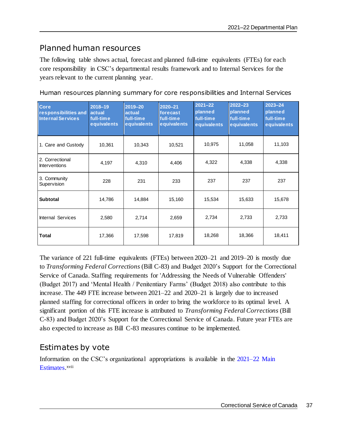### <span id="page-40-0"></span>Planned human resources

The following table shows actual, forecast and planned full-time equivalents (FTEs) for each core responsibility in CSC's departmental results framework and to Internal Services for the years relevant to the current planning year.

Human resources planning summary for core responsibilities and Internal Services

| <b>Core</b><br>responsibilities and<br><b>Internal Services</b> | 2018-19<br>actual<br>full-time<br>equivalents | 2019-20<br>actual<br>full-time<br>equivalents | $2020 - 21$<br>forecast<br>full-time<br>equivalents | $2022 - 23$<br>$2021 - 22$<br>planned<br>planned<br>full-time<br>full-time<br>equivalents<br>equivalents |        | $2023 - 24$<br>planned<br>full-time<br>equivalents |  |
|-----------------------------------------------------------------|-----------------------------------------------|-----------------------------------------------|-----------------------------------------------------|----------------------------------------------------------------------------------------------------------|--------|----------------------------------------------------|--|
| 1. Care and Custody                                             | 10,361                                        | 10,343                                        | 10,521                                              | 10,975                                                                                                   | 11,058 | 11,103                                             |  |
| 2. Correctional<br><b>Interventions</b>                         | 4,197                                         | 4,310                                         | 4,406                                               | 4,322                                                                                                    | 4,338  | 4,338                                              |  |
| 3. Community<br>Supervision                                     | 228                                           | 231                                           | 233                                                 | 237                                                                                                      | 237    | 237                                                |  |
| <b>Subtotal</b>                                                 | 14,786                                        | 14,884                                        | 15,160                                              | 15,534                                                                                                   | 15,633 | 15,678                                             |  |
| <b>Internal Services</b>                                        | 2,580                                         | 2,714                                         | 2,659                                               | 2,734                                                                                                    | 2,733  |                                                    |  |
| <b>Total</b>                                                    | 17,366                                        | 17,598                                        | 17,819                                              | 18,268                                                                                                   | 18,366 | 18,411                                             |  |

The variance of 221 full-time equivalents (FTEs) between 2020–21 and 2019–20 is mostly due to *Transforming Federal Corrections* (Bill C-83) and Budget 2020's Support for the Correctional Service of Canada. Staffing requirements for 'Addressing the Needs of Vulnerable Offenders' (Budget 2017) and 'Mental Health / Penitentiary Farms' (Budget 2018) also contribute to this increase. The 449 FTE increase between 2021–22 and 2020–21 is largely due to increased planned staffing for correctional officers in order to bring the workforce to its optimal level. A significant portion of this FTE increase is attributed to *Transforming Federal Corrections* (Bill C-83) and Budget 2020's Support for the Correctional Service of Canada. Future year FTEs are also expected to increase as Bill C-83 measures continue to be implemented.

### <span id="page-40-1"></span>Estimates by vote

Information on the CSC's organizational appropriations is available in the 2021–22 Main [Estimates.](http://www.tbs-sct.gc.ca/hgw-cgf/finances/pgs-pdg/gepme-pdgbpd/index-eng.asp)<sup>xvii</sup>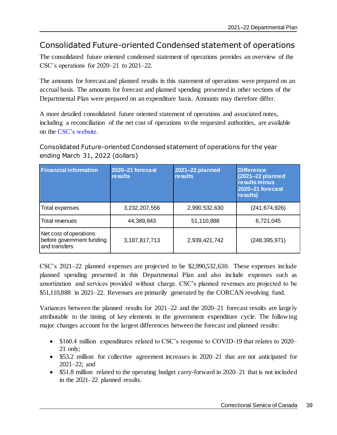### <span id="page-42-0"></span>Consolidated Future-oriented Condensed statement of operations

The consolidated future oriented condensed statement of operations provides an overview of the CSC's operations for 2020–21 to 2021–22.

The amounts for forecast and planned results in this statement of operations were prepared on an accrual basis. The amounts for forecast and planned spending presented in other sections of the Departmental Plan were prepared on an expenditure basis. Amounts may therefore differ.

A more detailed consolidated future oriented statement of operations and associated notes, including a reconciliation of the net cost of operations to the requested authorities, are available on the [CSC's website.](https://www.csc-scc.gc.ca/reporting/007005-2500-en.shtml)

Consolidated Future-oriented Condensed statement of operations for the year ending March 31, 2022 (dollars)

| <b>Financial information</b>                                         | 2020-21 forecast<br><b>results</b> | <b>2021-22 planned</b><br><b>results</b> | <b>Difference</b><br>(2021-22 planned<br><b>results minus</b><br>2020-21 forecast<br>results) |
|----------------------------------------------------------------------|------------------------------------|------------------------------------------|-----------------------------------------------------------------------------------------------|
| Total expenses                                                       | 3,232,207,556                      | 2,990,532,630                            | (241, 674, 926)                                                                               |
| Total revenues                                                       | 44,389,843                         | 51,110,888                               | 6,721,045                                                                                     |
| Net cost of operations<br>before government funding<br>and transfers | 3,187,817,713                      | 2,939,421,742                            | (248, 395, 971)                                                                               |

CSC's 2021–22 planned expenses are projected to be \$2,990,532,630. These expenses include planned spending presented in this Departmental Plan and also include expenses such as amortization and services provided without charge. CSC's planned revenues are projected to be \$51,110,888 in 2021–22. Revenues are primarily generated by the CORCAN revolving fund.

Variances between the planned results for 2021–22 and the 2020–21 forecast results are largely attributable to the timing of key elements in the government expenditure cycle. The following major changes account for the largest differences between the forecast and planned results:

- \$160.4 million expenditures related to CSC's response to COVID-19 that relates to 2020– 21 only;
- \$53.2 million for collective agreement increases in 2020–21 that are not anticipated for 2021–22; and
- \$51.8 million related to the operating budget carry-forward in 2020–21 that is not included in the 2021–22 planned results.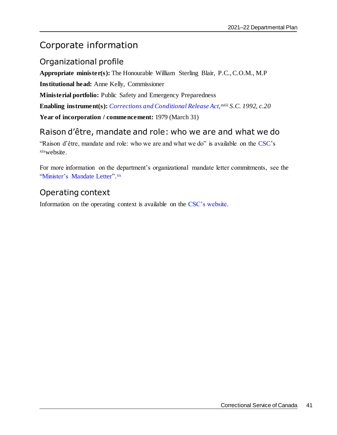## <span id="page-44-0"></span>Corporate information

### <span id="page-44-1"></span>Organizational profile

**Appropriate minister(s):** The Honourable William Sterling Blair, P.C., C.O.M., M.P **Institutional head:** Anne Kelly, Commissioner **Ministerial portfolio:** Public Safety and Emergency Preparedness **Enabling instrument(s):** *[Corrections and Conditional Release Act,](https://laws-lois.justice.gc.ca/eng/acts/c-44.6/)xviii S.C. 1992, c.20* **Year of incorporation / commencement:** 1979 (March 31)

### <span id="page-44-2"></span>Raison d'être, mandate and role: who we are and what we do

"Raison d'être, mandate and role: who we are and what we do" is available on the [CSC'](https://www.csc-scc.gc.ca/about-us/index-eng.shtml)s xixwebsite.

For more information on the department's organizational mandate letter commitments, see the ["Minister's Mandate Letter"](https://pm.gc.ca/en/mandate-letters/2021/01/15/minister-public-safety-and-emergency-preparedness-supplementary-mandate).xx

### <span id="page-44-3"></span>Operating context

Information on the operating context is available on the [CSC's website.](https://www.csc-scc.gc.ca/publications/005007-2608-04-en.shtml)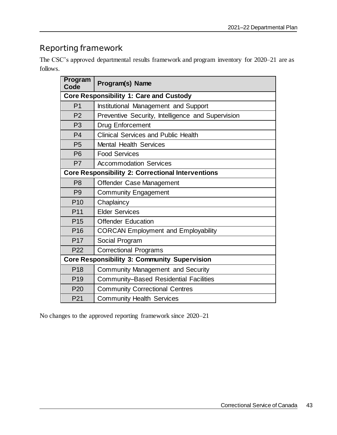## <span id="page-46-0"></span>Reporting framework

| The CSC's approved departmental results framework and program inventory for 2020–21 are as |  |  |  |  |  |
|--------------------------------------------------------------------------------------------|--|--|--|--|--|
| follows.                                                                                   |  |  |  |  |  |

| <b>Program</b><br>Code | Program(s) Name                                          |
|------------------------|----------------------------------------------------------|
|                        | <b>Core Responsibility 1: Care and Custody</b>           |
| P <sub>1</sub>         | Institutional Management and Support                     |
| P <sub>2</sub>         | Preventive Security, Intelligence and Supervision        |
| P <sub>3</sub>         | <b>Drug Enforcement</b>                                  |
| P <sub>4</sub>         | <b>Clinical Services and Public Health</b>               |
| P <sub>5</sub>         | <b>Mental Health Services</b>                            |
| <b>P6</b>              | <b>Food Services</b>                                     |
| P <sub>7</sub>         | <b>Accommodation Services</b>                            |
|                        | <b>Core Responsibility 2: Correctional Interventions</b> |
| P <sub>8</sub>         | Offender Case Management                                 |
| P <sub>9</sub>         | <b>Community Engagement</b>                              |
| P <sub>10</sub>        | Chaplaincy                                               |
| P <sub>11</sub>        | <b>Elder Services</b>                                    |
| P <sub>15</sub>        | <b>Offender Education</b>                                |
| P <sub>16</sub>        | <b>CORCAN Employment and Employability</b>               |
| P <sub>17</sub>        | Social Program                                           |
| P <sub>22</sub>        | <b>Correctional Programs</b>                             |
|                        | <b>Core Responsibility 3: Community Supervision</b>      |
| P <sub>18</sub>        | <b>Community Management and Security</b>                 |
| P <sub>19</sub>        | <b>Community-Based Residential Facilities</b>            |
| P <sub>20</sub>        | <b>Community Correctional Centres</b>                    |
| P <sub>21</sub>        | <b>Community Health Services</b>                         |

No changes to the approved reporting framework since 2020–21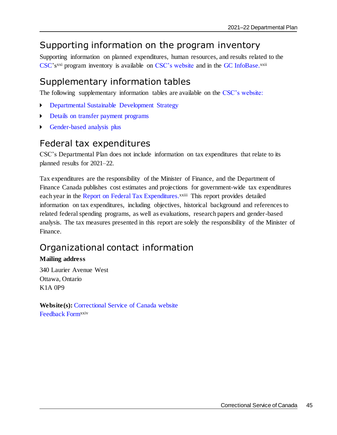## <span id="page-48-0"></span>Supporting information on the program inventory

Supporting information on planned expenditures, human resources, and results related to the [CSC'](https://www.csc-scc.gc.ca/)s<sup>xxi</sup> program inventory is available on [CSC's website](https://www.csc-scc.gc.ca/publications/005007-2608-01-en.shtml) and in the GC [InfoBase.](https://www.tbs-sct.gc.ca/ems-sgd/edb-bdd/index-eng.html)<sup>xxii</sup>

## <span id="page-48-1"></span>Supplementary information tables

The following supplementary information tables are available on the [CSC's website:](https://www.csc-scc.gc.ca/reporting/index-eng.shtml)

- [Departmental Sustainable Development Strategy](https://www.csc-scc.gc.ca/publications/index-eng.shtml#S)
- [Details on transfer payment programs](https://www.csc-scc.gc.ca/publications/005007-2608-03-en.shtml)
- [Gender-based analysis plus](https://www.csc-scc.gc.ca/publications/005007-2608-02-en.shtml)

### <span id="page-48-2"></span>Federal tax expenditures

CSC's Departmental Plan does not include information on tax expenditures that relate to its planned results for 2021–22.

Tax expenditures are the responsibility of the Minister of Finance, and the Department of Finance Canada publishes cost estimates and projections for government-wide tax expenditures each year in the [Report on Federal Tax Expenditures.](https://www.canada.ca/en/department-finance/services/publications/federal-tax-expenditures.html)<sup>xxiii</sup> This report provides detailed information on tax expenditures, including objectives, historical background and references to related federal spending programs, as well as evaluations, research papers and gender-based analysis. The tax measures presented in this report are solely the responsibility of the Minister of Finance.

## <span id="page-48-3"></span>Organizational contact information

### **Mailing address**

340 Laurier Avenue West Ottawa, Ontario K1A 0P9

**Website(s):** [Correctional Service of Canada website](https://www.csc-scc.gc.ca/) [Feedback Form](http://www.csc-scc.gc.ca/contact-us/008-0001-eng.shtml)xxiv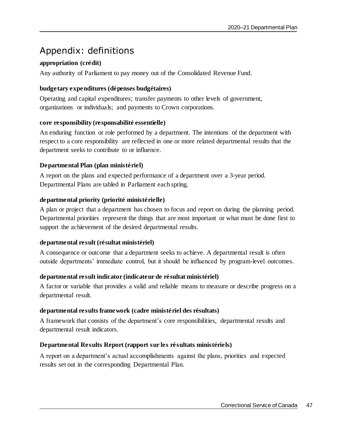## <span id="page-50-0"></span>Appendix: definitions

### **appropriation (crédit)**

Any authority of Parliament to pay money out of the Consolidated Revenue Fund.

### **budgetary expenditures (dépenses budgétaires)**

Operating and capital expenditures; transfer payments to other levels of government, organizations or individuals; and payments to Crown corporations.

### **core responsibility (responsabilité essentielle)**

An enduring function or role performed by a department. The intentions of the department with respect to a core responsibility are reflected in one or more related departmental results that the department seeks to contribute to or influence.

### **Departmental Plan (plan ministériel)**

A report on the plans and expected performance of a department over a 3-year period. Departmental Plans are tabled in Parliament each spring.

### **departmental priority (priorité ministérielle)**

A plan or project that a department has chosen to focus and report on during the planning period. Departmental priorities represent the things that are most important or what must be done first to support the achievement of the desired departmental results.

### **departmental result (résultat ministériel)**

A consequence or outcome that a department seeks to achieve. A departmental result is often outside departments' immediate control, but it should be influenced by program-level outcomes.

### **departmental result indicator (indicateur de résultat ministériel)**

A factor or variable that provides a valid and reliable means to measure or describe progress on a departmental result.

### **departmental results framework (cadre ministériel des résultats)**

A framework that consists of the department's core responsibilities, departmental results and departmental result indicators.

### **Departmental Results Report (rapport sur les résultats ministériels)**

A report on a department's actual accomplishments against the plans, priorities and expected results set out in the corresponding Departmental Plan.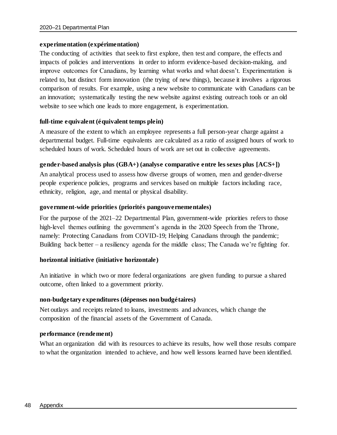### **experimentation (expérimentation)**

The conducting of activities that seek to first explore, then test and compare, the effects and impacts of policies and interventions in order to inform evidence-based decision-making, and improve outcomes for Canadians, by learning what works and what doesn't. Experimentation is related to, but distinct form innovation (the trying of new things), because it involves a rigorous comparison of results. For example, using a new website to communicate with Canadians can be an innovation; systematically testing the new website against existing outreach tools or an old website to see which one leads to more engagement, is experimentation.

#### **full-time equivalent (équivalent temps plein)**

A measure of the extent to which an employee represents a full person-year charge against a departmental budget. Full-time equivalents are calculated as a ratio of assigned hours of work to scheduled hours of work. Scheduled hours of work are set out in collective agreements.

### **gender-based analysis plus (GBA+) (analyse comparative entre les sexes plus [ACS+])**

An analytical process used to assess how diverse groups of women, men and gender-diverse people experience policies, programs and services based on multiple factors including race, ethnicity, religion, age, and mental or physical disability.

#### **government-wide priorities (priorités pangouvernementales)**

For the purpose of the 2021–22 Departmental Plan, government-wide priorities refers to those high-level themes outlining the government's agenda in the 2020 Speech from the Throne, namely: Protecting Canadians from COVID-19; Helping Canadians through the pandemic; Building back better – a resiliency agenda for the middle class; The Canada we're fighting for.

### **horizontal initiative (initiative horizontale)**

An initiative in which two or more federal organizations are given funding to pursue a shared outcome, often linked to a government priority.

#### **non-budgetary expenditures (dépenses non budgétaires)**

Net outlays and receipts related to loans, investments and advances, which change the composition of the financial assets of the Government of Canada.

#### **performance (rendement)**

What an organization did with its resources to achieve its results, how well those results compare to what the organization intended to achieve, and how well lessons learned have been identified.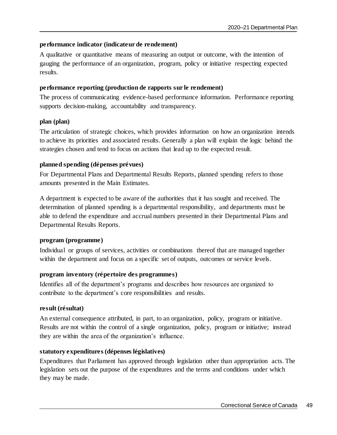### **performance indicator (indicateur de rendement)**

A qualitative or quantitative means of measuring an output or outcome, with the intention of gauging the performance of an organization, program, policy or initiative respecting expected results.

#### **performance reporting (production de rapports sur le rendement)**

The process of communicating evidence-based performance information. Performance reporting supports decision-making, accountability and transparency.

### **plan (plan)**

The articulation of strategic choices, which provides information on how an organization intends to achieve its priorities and associated results. Generally a plan will explain the logic behind the strategies chosen and tend to focus on actions that lead up to the expected result.

### **planned spending (dépenses prévues)**

For Departmental Plans and Departmental Results Reports, planned spending refers to those amounts presented in the Main Estimates.

A department is expected to be aware of the authorities that it has sought and received. The determination of planned spending is a departmental responsibility, and departments must be able to defend the expenditure and accrual numbers presented in their Departmental Plans and Departmental Results Reports.

### **program (programme)**

Individual or groups of services, activities or combinations thereof that are managed together within the department and focus on a specific set of outputs, outcomes or service levels.

### **program inventory (répertoire des programmes)**

Identifies all of the department's programs and describes how resources are organized to contribute to the department's core responsibilities and results.

### **result (résultat)**

An external consequence attributed, in part, to an organization, policy, program or initiative. Results are not within the control of a single organization, policy, program or initiative; instead they are within the area of the organization's influence.

### **statutory expenditures (dépenses législatives)**

Expenditures that Parliament has approved through legislation other than appropriation acts. The legislation sets out the purpose of the expenditures and the terms and conditions under which they may be made.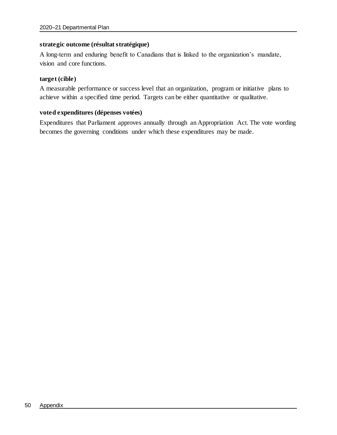### **strategic outcome (résultat stratégique)**

A long-term and enduring benefit to Canadians that is linked to the organization's mandate, vision and core functions.

#### **target (cible)**

A measurable performance or success level that an organization, program or initiative plans to achieve within a specified time period. Targets can be either quantitative or qualitative.

### **voted expenditures (dépenses votées)**

Expenditures that Parliament approves annually through an Appropriation Act. The vote wording becomes the governing conditions under which these expenditures may be made.